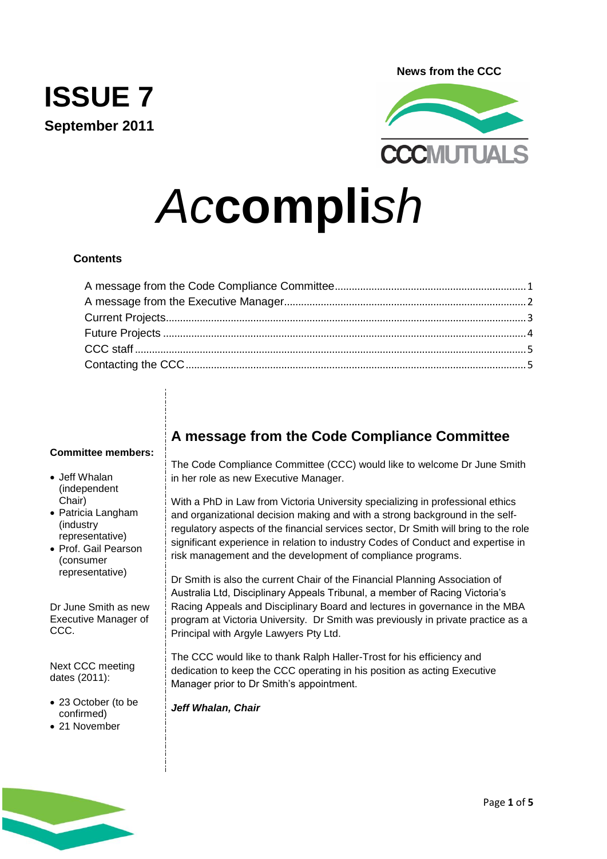**News from the CCC**



# *Ac***compli***sh*

# **Contents**

**ISSUE 7**

**September 2011**

#### **Committee members:**

- Jeff Whalan (independent Chair)
- Patricia Langham (industry representative)
- Prof. Gail Pearson (consumer representative)

Dr June Smith as new Executive Manager of CCC.

Next CCC meeting dates (2011):

- 23 October (to be confirmed)
- 21 November

# <span id="page-0-0"></span>**A message from the Code Compliance Committee**

The Code Compliance Committee (CCC) would like to welcome Dr June Smith in her role as new Executive Manager.

With a PhD in Law from Victoria University specializing in professional ethics and organizational decision making and with a strong background in the selfregulatory aspects of the financial services sector, Dr Smith will bring to the role significant experience in relation to industry Codes of Conduct and expertise in risk management and the development of compliance programs.

Dr Smith is also the current Chair of the Financial Planning Association of Australia Ltd, Disciplinary Appeals Tribunal, a member of Racing Victoria's Racing Appeals and Disciplinary Board and lectures in governance in the MBA program at Victoria University. Dr Smith was previously in private practice as a Principal with Argyle Lawyers Pty Ltd.

The CCC would like to thank Ralph Haller-Trost for his efficiency and dedication to keep the CCC operating in his position as acting Executive Manager prior to Dr Smith's appointment.

*Jeff Whalan, Chair*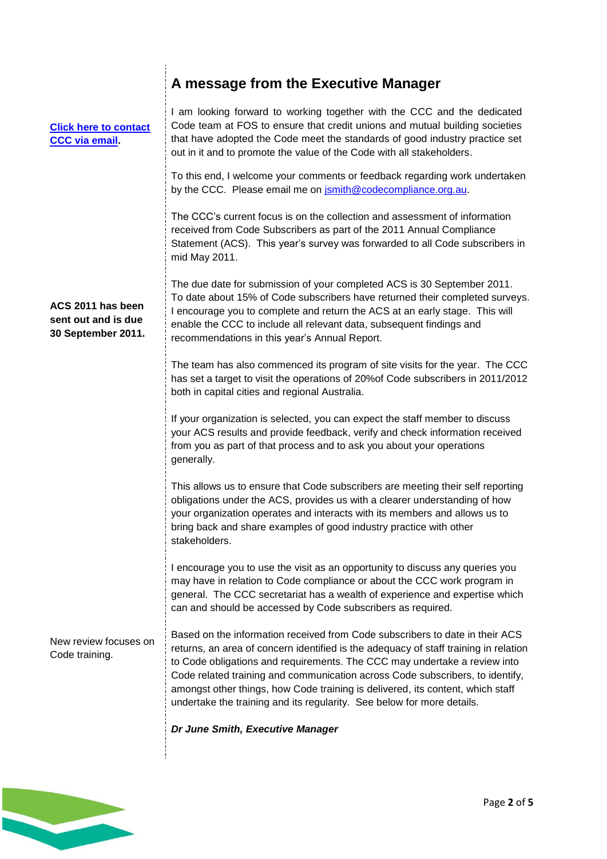<span id="page-1-0"></span>

|                                                                | A message from the Executive Manager                                                                                                                                                                                                                                                                                                                                                                                                                                                           |
|----------------------------------------------------------------|------------------------------------------------------------------------------------------------------------------------------------------------------------------------------------------------------------------------------------------------------------------------------------------------------------------------------------------------------------------------------------------------------------------------------------------------------------------------------------------------|
| <b>Click here to contact</b><br><b>CCC via email</b>           | I am looking forward to working together with the CCC and the dedicated<br>Code team at FOS to ensure that credit unions and mutual building societies<br>that have adopted the Code meet the standards of good industry practice set<br>out in it and to promote the value of the Code with all stakeholders.                                                                                                                                                                                 |
|                                                                | To this end, I welcome your comments or feedback regarding work undertaken<br>by the CCC. Please email me on jsmith@codecompliance.org.au.                                                                                                                                                                                                                                                                                                                                                     |
|                                                                | The CCC's current focus is on the collection and assessment of information<br>received from Code Subscribers as part of the 2011 Annual Compliance<br>Statement (ACS). This year's survey was forwarded to all Code subscribers in<br>mid May 2011.                                                                                                                                                                                                                                            |
| ACS 2011 has been<br>sent out and is due<br>30 September 2011. | The due date for submission of your completed ACS is 30 September 2011.<br>To date about 15% of Code subscribers have returned their completed surveys.<br>I encourage you to complete and return the ACS at an early stage. This will<br>enable the CCC to include all relevant data, subsequent findings and<br>recommendations in this year's Annual Report.                                                                                                                                |
|                                                                | The team has also commenced its program of site visits for the year. The CCC<br>has set a target to visit the operations of 20% of Code subscribers in 2011/2012<br>both in capital cities and regional Australia.                                                                                                                                                                                                                                                                             |
|                                                                | If your organization is selected, you can expect the staff member to discuss<br>your ACS results and provide feedback, verify and check information received<br>from you as part of that process and to ask you about your operations<br>generally.                                                                                                                                                                                                                                            |
|                                                                | This allows us to ensure that Code subscribers are meeting their self reporting<br>obligations under the ACS, provides us with a clearer understanding of how<br>your organization operates and interacts with its members and allows us to<br>bring back and share examples of good industry practice with other<br>stakeholders.                                                                                                                                                             |
|                                                                | I encourage you to use the visit as an opportunity to discuss any queries you<br>may have in relation to Code compliance or about the CCC work program in<br>general. The CCC secretariat has a wealth of experience and expertise which<br>can and should be accessed by Code subscribers as required.                                                                                                                                                                                        |
| New review focuses on<br>Code training.                        | Based on the information received from Code subscribers to date in their ACS<br>returns, an area of concern identified is the adequacy of staff training in relation<br>to Code obligations and requirements. The CCC may undertake a review into<br>Code related training and communication across Code subscribers, to identify,<br>amongst other things, how Code training is delivered, its content, which staff<br>undertake the training and its regularity. See below for more details. |
|                                                                | Dr June Smith, Executive Manager                                                                                                                                                                                                                                                                                                                                                                                                                                                               |

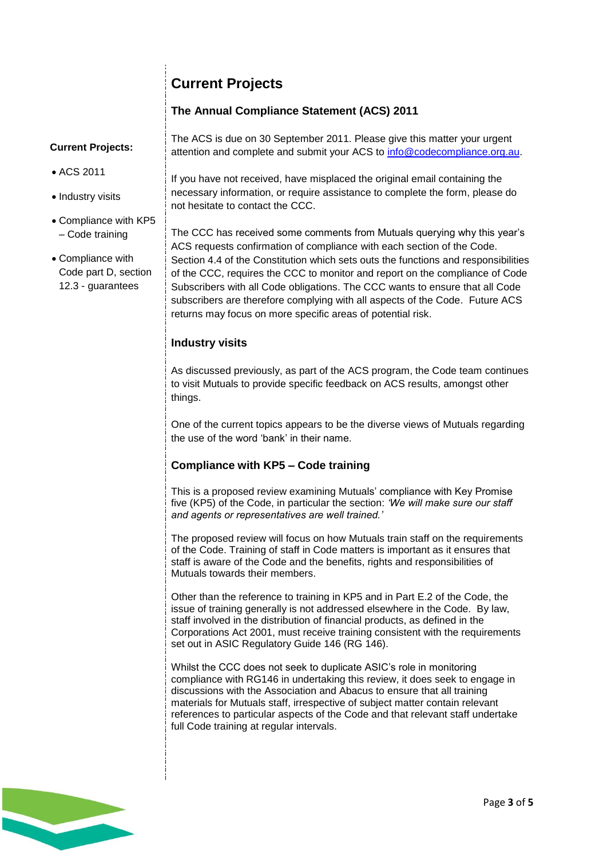# <span id="page-2-0"></span>**Current Projects**

# **The Annual Compliance Statement (ACS) 2011**

## **Current Projects:**

- ACS 2011
- Industry visits
- Compliance with KP5 – Code training
- Compliance with Code part D, section 12.3 - guarantees

The ACS is due on 30 September 2011. Please give this matter your urgent attention and complete and submit your ACS to [info@codecompliance.org.au.](mailto:info@codecompliance.org.au)

If you have not received, have misplaced the original email containing the necessary information, or require assistance to complete the form, please do not hesitate to contact the CCC.

The CCC has received some comments from Mutuals querying why this year's ACS requests confirmation of compliance with each section of the Code. Section 4.4 of the Constitution which sets outs the functions and responsibilities of the CCC, requires the CCC to monitor and report on the compliance of Code Subscribers with all Code obligations. The CCC wants to ensure that all Code subscribers are therefore complying with all aspects of the Code. Future ACS returns may focus on more specific areas of potential risk.

# **Industry visits**

As discussed previously, as part of the ACS program, the Code team continues to visit Mutuals to provide specific feedback on ACS results, amongst other things.

One of the current topics appears to be the diverse views of Mutuals regarding the use of the word 'bank' in their name.

# **Compliance with KP5 – Code training**

This is a proposed review examining Mutuals' compliance with Key Promise five (KP5) of the Code, in particular the section: *'We will make sure our staff and agents or representatives are well trained.'*

The proposed review will focus on how Mutuals train staff on the requirements of the Code. Training of staff in Code matters is important as it ensures that staff is aware of the Code and the benefits, rights and responsibilities of Mutuals towards their members.

Other than the reference to training in KP5 and in Part E.2 of the Code, the issue of training generally is not addressed elsewhere in the Code. By law, staff involved in the distribution of financial products, as defined in the Corporations Act 2001, must receive training consistent with the requirements set out in ASIC Regulatory Guide 146 (RG 146).

Whilst the CCC does not seek to duplicate ASIC's role in monitoring compliance with RG146 in undertaking this review, it does seek to engage in discussions with the Association and Abacus to ensure that all training materials for Mutuals staff, irrespective of subject matter contain relevant references to particular aspects of the Code and that relevant staff undertake full Code training at regular intervals.

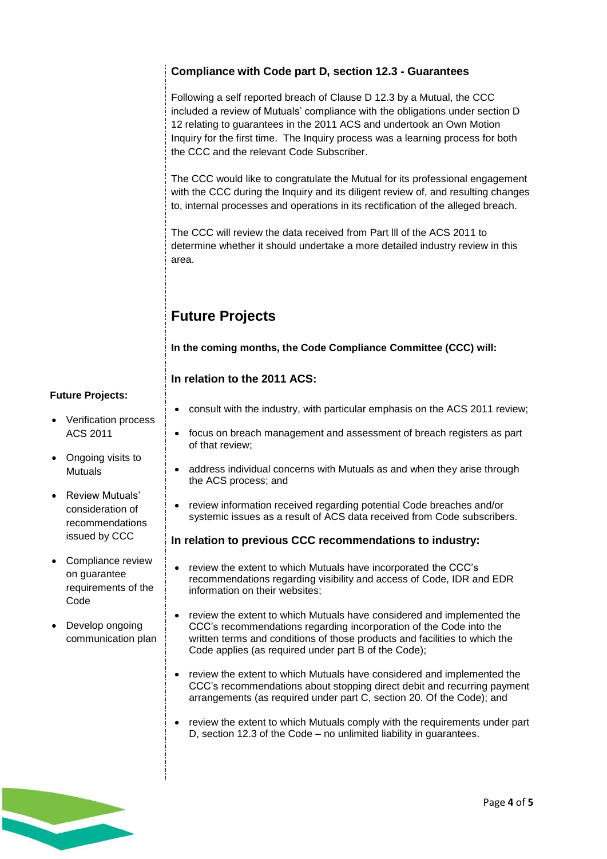# **Compliance with Code part D, section 12.3 - Guarantees**

Following a self reported breach of Clause D 12.3 by a Mutual, the CCC included a review of Mutuals' compliance with the obligations under section D 12 relating to guarantees in the 2011 ACS and undertook an Own Motion Inquiry for the first time. The Inquiry process was a learning process for both the CCC and the relevant Code Subscriber.

The CCC would like to congratulate the Mutual for its professional engagement with the CCC during the Inquiry and its diligent review of, and resulting changes to, internal processes and operations in its rectification of the alleged breach.

The CCC will review the data received from Part lll of the ACS 2011 to determine whether it should undertake a more detailed industry review in this area.

# <span id="page-3-0"></span>**Future Projects**

**In the coming months, the Code Compliance Committee (CCC) will:**

# **In relation to the 2011 ACS:**

#### **Future Projects:**

- Verification process ACS 2011
- Ongoing visits to **Mutuals**
- Review Mutuals' consideration of recommendations issued by CCC
- Compliance review on guarantee requirements of the Code
- Develop ongoing communication plan
- consult with the industry, with particular emphasis on the ACS 2011 review;
- focus on breach management and assessment of breach registers as part of that review;
- address individual concerns with Mutuals as and when they arise through the ACS process; and
- review information received regarding potential Code breaches and/or systemic issues as a result of ACS data received from Code subscribers.

## **In relation to previous CCC recommendations to industry:**

- review the extent to which Mutuals have incorporated the CCC's recommendations regarding visibility and access of Code, IDR and EDR information on their websites;
- review the extent to which Mutuals have considered and implemented the CCC's recommendations regarding incorporation of the Code into the written terms and conditions of those products and facilities to which the Code applies (as required under part B of the Code);
- review the extent to which Mutuals have considered and implemented the CCC's recommendations about stopping direct debit and recurring payment arrangements (as required under part C, section 20. Of the Code); and
- review the extent to which Mutuals comply with the requirements under part D, section 12.3 of the Code – no unlimited liability in guarantees.